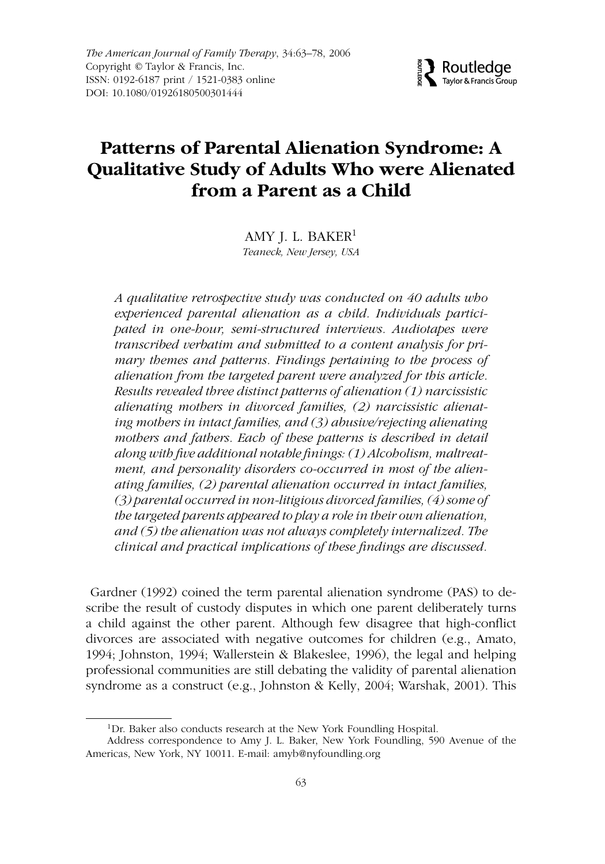## **Routledge** Taylor & Francis Group

# **Patterns of Parental Alienation Syndrome: A Qualitative Study of Adults Who were Alienated from a Parent as a Child**

AMY J. L. BAKER<sup>1</sup> *Teaneck, New Jersey, USA*

*A qualitative retrospective study was conducted on 40 adults who experienced parental alienation as a child. Individuals participated in one-hour, semi-structured interviews. Audiotapes were transcribed verbatim and submitted to a content analysis for primary themes and patterns. Findings pertaining to the process of alienation from the targeted parent were analyzed for this article. Results revealed three distinct patterns of alienation (1) narcissistic alienating mothers in divorced families, (2) narcissistic alienating mothers in intact families, and (3) abusive/rejecting alienating mothers and fathers. Each of these patterns is described in detail along with five additional notable finings: (1) Alcoholism, maltreatment, and personality disorders co-occurred in most of the alienating families, (2) parental alienation occurred in intact families, (3) parental occurred in non-litigious divorced families, (4) some of the targeted parents appeared to play a role in their own alienation, and (5) the alienation was not always completely internalized. The clinical and practical implications of these findings are discussed.*

Gardner (1992) coined the term parental alienation syndrome (PAS) to describe the result of custody disputes in which one parent deliberately turns a child against the other parent. Although few disagree that high-conflict divorces are associated with negative outcomes for children (e.g., Amato, 1994; Johnston, 1994; Wallerstein & Blakeslee, 1996), the legal and helping professional communities are still debating the validity of parental alienation syndrome as a construct (e.g., Johnston & Kelly, 2004; Warshak, 2001). This

<sup>&</sup>lt;sup>1</sup>Dr. Baker also conducts research at the New York Foundling Hospital.

Address correspondence to Amy J. L. Baker, New York Foundling, 590 Avenue of the Americas, New York, NY 10011. E-mail: amyb@nyfoundling.org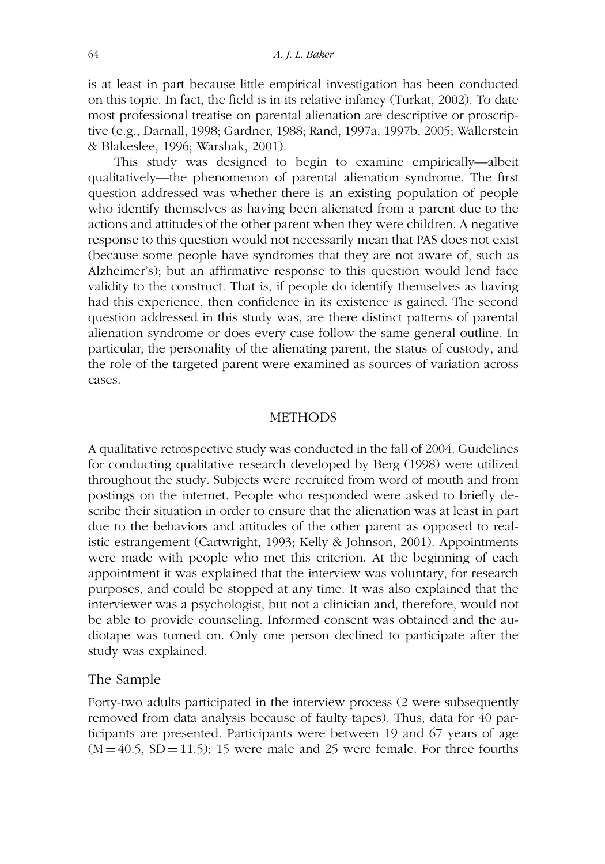is at least in part because little empirical investigation has been conducted on this topic. In fact, the field is in its relative infancy (Turkat, 2002). To date most professional treatise on parental alienation are descriptive or proscriptive (e.g., Darnall, 1998; Gardner, 1988; Rand, 1997a, 1997b, 2005; Wallerstein & Blakeslee, 1996; Warshak, 2001).

This study was designed to begin to examine empirically—albeit qualitatively—the phenomenon of parental alienation syndrome. The first question addressed was whether there is an existing population of people who identify themselves as having been alienated from a parent due to the actions and attitudes of the other parent when they were children. A negative response to this question would not necessarily mean that PAS does not exist (because some people have syndromes that they are not aware of, such as Alzheimer's); but an affirmative response to this question would lend face validity to the construct. That is, if people do identify themselves as having had this experience, then confidence in its existence is gained. The second question addressed in this study was, are there distinct patterns of parental alienation syndrome or does every case follow the same general outline. In particular, the personality of the alienating parent, the status of custody, and the role of the targeted parent were examined as sources of variation across cases.

#### **METHODS**

A qualitative retrospective study was conducted in the fall of 2004. Guidelines for conducting qualitative research developed by Berg (1998) were utilized throughout the study. Subjects were recruited from word of mouth and from postings on the internet. People who responded were asked to briefly describe their situation in order to ensure that the alienation was at least in part due to the behaviors and attitudes of the other parent as opposed to realistic estrangement (Cartwright, 1993; Kelly & Johnson, 2001). Appointments were made with people who met this criterion. At the beginning of each appointment it was explained that the interview was voluntary, for research purposes, and could be stopped at any time. It was also explained that the interviewer was a psychologist, but not a clinician and, therefore, would not be able to provide counseling. Informed consent was obtained and the audiotape was turned on. Only one person declined to participate after the study was explained.

#### The Sample

Forty-two adults participated in the interview process (2 were subsequently removed from data analysis because of faulty tapes). Thus, data for 40 participants are presented. Participants were between 19 and 67 years of age  $(M = 40.5, SD = 11.5)$ ; 15 were male and 25 were female. For three fourths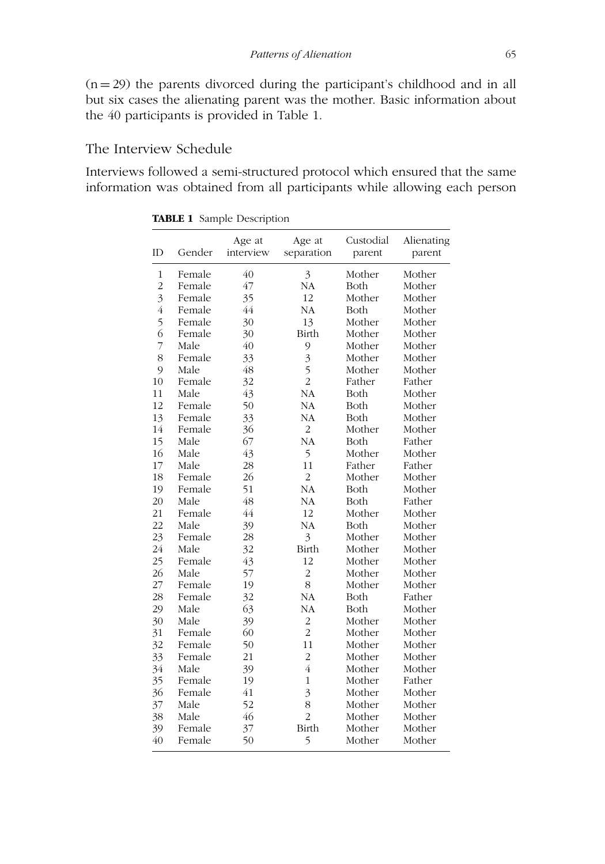$(n=29)$  the parents divorced during the participant's childhood and in all but six cases the alienating parent was the mother. Basic information about the 40 participants is provided in Table 1.

# The Interview Schedule

Interviews followed a semi-structured protocol which ensured that the same information was obtained from all participants while allowing each person

| ID             | Gender | Age at<br>interview | Age at<br>separation    | Custodial<br>parent | Alienating<br>parent |
|----------------|--------|---------------------|-------------------------|---------------------|----------------------|
| 1              | Female | 40                  | $\overline{3}$          | Mother              | Mother               |
| $\overline{2}$ | Female | 47                  | NA                      | Both                | Mother               |
| 3              | Female | 35                  | 12                      | Mother              | Mother               |
| $\overline{4}$ | Female | 44                  | NA                      | Both                | Mother               |
| 5              | Female | 30                  | 13                      | Mother              | Mother               |
| 6              | Female | 30                  | Birth                   | Mother              | Mother               |
| 7              | Male   | 40                  | 9                       | Mother              | Mother               |
| 8              | Female | 33                  | 3                       | Mother              | Mother               |
| 9              | Male   | 48                  | 5                       | Mother              | Mother               |
| 10             | Female | 32                  | $\overline{2}$          | Father              | Father               |
| 11             | Male   | 43                  | NA                      | Both                | Mother               |
| 12             | Female | 50                  | NA                      | Both                | Mother               |
| 13             | Female | 33                  | NA                      | Both                | Mother               |
| 14             | Female | 36                  | $\overline{c}$          | Mother              | Mother               |
| 15             | Male   | 67                  | NA                      | Both                | Father               |
| 16             | Male   | 43                  | 5                       | Mother              | Mother               |
| 17             | Male   | 28                  | 11                      | Father              | Father               |
| 18             | Female | 26                  | $\overline{2}$          | Mother              | Mother               |
| 19             | Female | 51                  | NA                      | Both                | Mother               |
| 20             | Male   | 48                  | NA                      | Both                | Father               |
| 21             | Female | 44                  | 12                      | Mother              | Mother               |
| 22             | Male   | 39                  | NA                      | Both                | Mother               |
| 23             | Female | 28                  | $\overline{\mathbf{3}}$ | Mother              | Mother               |
| 24             | Male   | 32                  | Birth                   | Mother              | Mother               |
| 25             | Female | 43                  | 12                      | Mother              | Mother               |
| 26             | Male   | 57                  | $\overline{2}$          | Mother              | Mother               |
| 27             | Female | 19                  | 8                       | Mother              | Mother               |
| 28             | Female | 32                  | NA                      | Both                | Father               |
| 29             | Male   | 63                  | NA                      | Both                | Mother               |
| 30             | Male   | 39                  | $\overline{2}$          | Mother              | Mother               |
| 31             | Female | 60                  | $\overline{2}$          | Mother              | Mother               |
| 32             | Female | 50                  | 11                      | Mother              | Mother               |
| 33             | Female | 21                  | $\overline{\mathbf{c}}$ | Mother              | Mother               |
| 34             | Male   | 39                  | $\overline{4}$          | Mother              | Mother               |
| 35             | Female | 19                  | 1                       | Mother              | Father               |
| 36             | Female | 41                  | 3                       | Mother              | Mother               |
| 37             | Male   | 52                  | 8                       | Mother              | Mother               |
| 38             | Male   | 46                  | $\overline{2}$          | Mother              | Mother               |
| 39             | Female | 37                  | Birth                   | Mother              | Mother               |
| 40             | Female | 50                  | 5                       | Mother              | Mother               |
|                |        |                     |                         |                     |                      |

**TABLE 1** Sample Description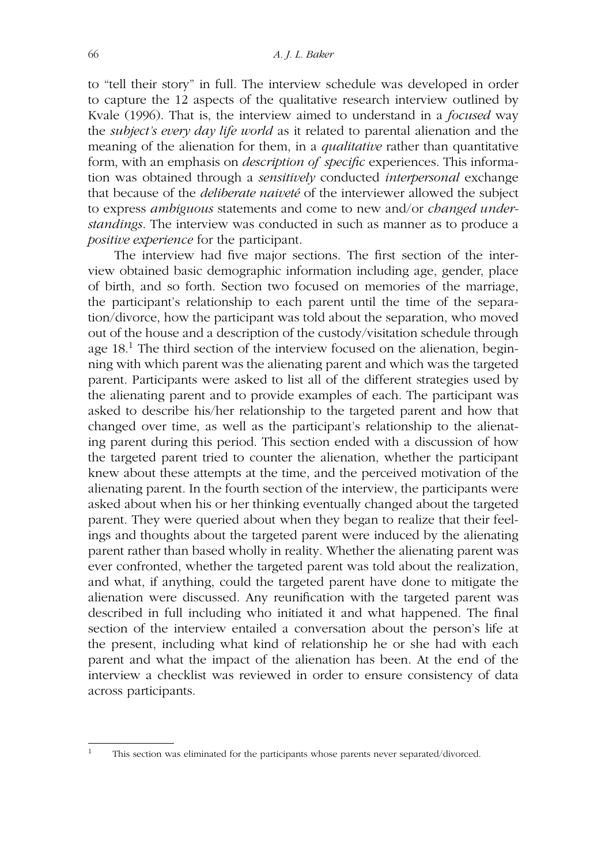to "tell their story" in full. The interview schedule was developed in order to capture the 12 aspects of the qualitative research interview outlined by Kvale (1996). That is, the interview aimed to understand in a *focused* way the *subject's every day life world* as it related to parental alienation and the meaning of the alienation for them, in a *qualitative* rather than quantitative form, with an emphasis on *description of specific* experiences. This information was obtained through a *sensitively* conducted *interpersonal* exchange that because of the *deliberate naiveté* of the interviewer allowed the subject to express *ambiguous* statements and come to new and/or *changed understandings*. The interview was conducted in such as manner as to produce a *positive experience* for the participant.

The interview had five major sections. The first section of the interview obtained basic demographic information including age, gender, place of birth, and so forth. Section two focused on memories of the marriage, the participant's relationship to each parent until the time of the separation/divorce, how the participant was told about the separation, who moved out of the house and a description of the custody/visitation schedule through age  $18<sup>1</sup>$ . The third section of the interview focused on the alienation, beginning with which parent was the alienating parent and which was the targeted parent. Participants were asked to list all of the different strategies used by the alienating parent and to provide examples of each. The participant was asked to describe his/her relationship to the targeted parent and how that changed over time, as well as the participant's relationship to the alienating parent during this period. This section ended with a discussion of how the targeted parent tried to counter the alienation, whether the participant knew about these attempts at the time, and the perceived motivation of the alienating parent. In the fourth section of the interview, the participants were asked about when his or her thinking eventually changed about the targeted parent. They were queried about when they began to realize that their feelings and thoughts about the targeted parent were induced by the alienating parent rather than based wholly in reality. Whether the alienating parent was ever confronted, whether the targeted parent was told about the realization, and what, if anything, could the targeted parent have done to mitigate the alienation were discussed. Any reunification with the targeted parent was described in full including who initiated it and what happened. The final section of the interview entailed a conversation about the person's life at the present, including what kind of relationship he or she had with each parent and what the impact of the alienation has been. At the end of the interview a checklist was reviewed in order to ensure consistency of data across participants.

<sup>&</sup>lt;sup>1</sup> This section was eliminated for the participants whose parents never separated/divorced.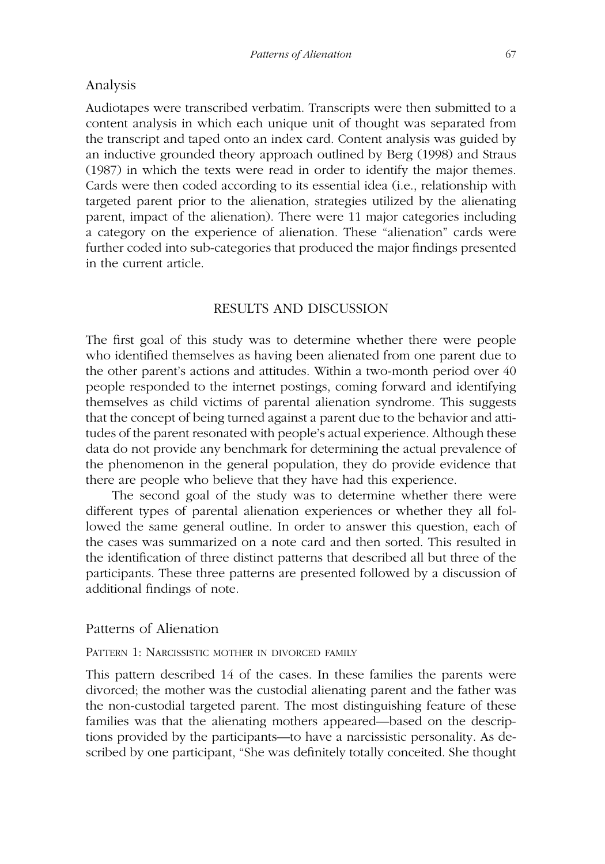### Analysis

Audiotapes were transcribed verbatim. Transcripts were then submitted to a content analysis in which each unique unit of thought was separated from the transcript and taped onto an index card. Content analysis was guided by an inductive grounded theory approach outlined by Berg (1998) and Straus (1987) in which the texts were read in order to identify the major themes. Cards were then coded according to its essential idea (i.e., relationship with targeted parent prior to the alienation, strategies utilized by the alienating parent, impact of the alienation). There were 11 major categories including a category on the experience of alienation. These "alienation" cards were further coded into sub-categories that produced the major findings presented in the current article.

### RESULTS AND DISCUSSION

The first goal of this study was to determine whether there were people who identified themselves as having been alienated from one parent due to the other parent's actions and attitudes. Within a two-month period over 40 people responded to the internet postings, coming forward and identifying themselves as child victims of parental alienation syndrome. This suggests that the concept of being turned against a parent due to the behavior and attitudes of the parent resonated with people's actual experience. Although these data do not provide any benchmark for determining the actual prevalence of the phenomenon in the general population, they do provide evidence that there are people who believe that they have had this experience.

The second goal of the study was to determine whether there were different types of parental alienation experiences or whether they all followed the same general outline. In order to answer this question, each of the cases was summarized on a note card and then sorted. This resulted in the identification of three distinct patterns that described all but three of the participants. These three patterns are presented followed by a discussion of additional findings of note.

## Patterns of Alienation

PATTERN 1: NARCISSISTIC MOTHER IN DIVORCED FAMILY

This pattern described 14 of the cases. In these families the parents were divorced; the mother was the custodial alienating parent and the father was the non-custodial targeted parent. The most distinguishing feature of these families was that the alienating mothers appeared—based on the descriptions provided by the participants—to have a narcissistic personality. As described by one participant, "She was definitely totally conceited. She thought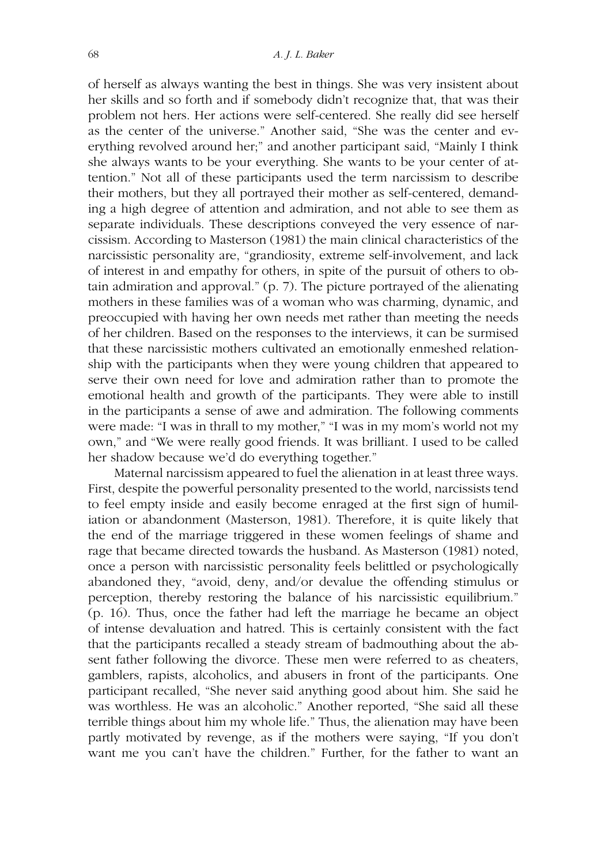of herself as always wanting the best in things. She was very insistent about her skills and so forth and if somebody didn't recognize that, that was their problem not hers. Her actions were self-centered. She really did see herself as the center of the universe." Another said, "She was the center and everything revolved around her;" and another participant said, "Mainly I think she always wants to be your everything. She wants to be your center of attention." Not all of these participants used the term narcissism to describe their mothers, but they all portrayed their mother as self-centered, demanding a high degree of attention and admiration, and not able to see them as separate individuals. These descriptions conveyed the very essence of narcissism. According to Masterson (1981) the main clinical characteristics of the narcissistic personality are, "grandiosity, extreme self-involvement, and lack of interest in and empathy for others, in spite of the pursuit of others to obtain admiration and approval." (p. 7). The picture portrayed of the alienating mothers in these families was of a woman who was charming, dynamic, and preoccupied with having her own needs met rather than meeting the needs of her children. Based on the responses to the interviews, it can be surmised that these narcissistic mothers cultivated an emotionally enmeshed relationship with the participants when they were young children that appeared to serve their own need for love and admiration rather than to promote the emotional health and growth of the participants. They were able to instill in the participants a sense of awe and admiration. The following comments were made: "I was in thrall to my mother," "I was in my mom's world not my own," and "We were really good friends. It was brilliant. I used to be called her shadow because we'd do everything together."

Maternal narcissism appeared to fuel the alienation in at least three ways. First, despite the powerful personality presented to the world, narcissists tend to feel empty inside and easily become enraged at the first sign of humiliation or abandonment (Masterson, 1981). Therefore, it is quite likely that the end of the marriage triggered in these women feelings of shame and rage that became directed towards the husband. As Masterson (1981) noted, once a person with narcissistic personality feels belittled or psychologically abandoned they, "avoid, deny, and/or devalue the offending stimulus or perception, thereby restoring the balance of his narcissistic equilibrium." (p. 16). Thus, once the father had left the marriage he became an object of intense devaluation and hatred. This is certainly consistent with the fact that the participants recalled a steady stream of badmouthing about the absent father following the divorce. These men were referred to as cheaters, gamblers, rapists, alcoholics, and abusers in front of the participants. One participant recalled, "She never said anything good about him. She said he was worthless. He was an alcoholic." Another reported, "She said all these terrible things about him my whole life." Thus, the alienation may have been partly motivated by revenge, as if the mothers were saying, "If you don't want me you can't have the children." Further, for the father to want an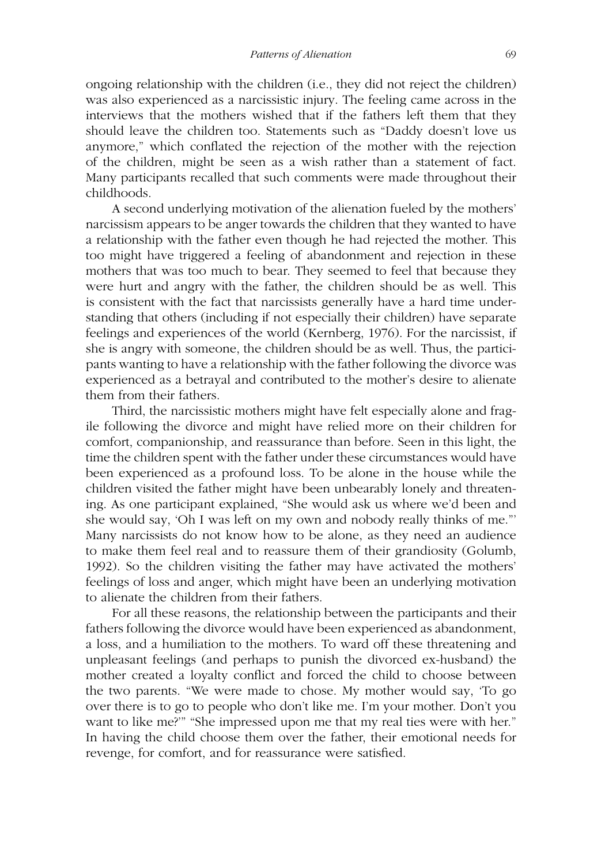ongoing relationship with the children (i.e., they did not reject the children) was also experienced as a narcissistic injury. The feeling came across in the interviews that the mothers wished that if the fathers left them that they should leave the children too. Statements such as "Daddy doesn't love us anymore," which conflated the rejection of the mother with the rejection of the children, might be seen as a wish rather than a statement of fact. Many participants recalled that such comments were made throughout their childhoods.

A second underlying motivation of the alienation fueled by the mothers' narcissism appears to be anger towards the children that they wanted to have a relationship with the father even though he had rejected the mother. This too might have triggered a feeling of abandonment and rejection in these mothers that was too much to bear. They seemed to feel that because they were hurt and angry with the father, the children should be as well. This is consistent with the fact that narcissists generally have a hard time understanding that others (including if not especially their children) have separate feelings and experiences of the world (Kernberg, 1976). For the narcissist, if she is angry with someone, the children should be as well. Thus, the participants wanting to have a relationship with the father following the divorce was experienced as a betrayal and contributed to the mother's desire to alienate them from their fathers.

Third, the narcissistic mothers might have felt especially alone and fragile following the divorce and might have relied more on their children for comfort, companionship, and reassurance than before. Seen in this light, the time the children spent with the father under these circumstances would have been experienced as a profound loss. To be alone in the house while the children visited the father might have been unbearably lonely and threatening. As one participant explained, "She would ask us where we'd been and she would say, 'Oh I was left on my own and nobody really thinks of me."' Many narcissists do not know how to be alone, as they need an audience to make them feel real and to reassure them of their grandiosity (Golumb, 1992). So the children visiting the father may have activated the mothers' feelings of loss and anger, which might have been an underlying motivation to alienate the children from their fathers.

For all these reasons, the relationship between the participants and their fathers following the divorce would have been experienced as abandonment, a loss, and a humiliation to the mothers. To ward off these threatening and unpleasant feelings (and perhaps to punish the divorced ex-husband) the mother created a loyalty conflict and forced the child to choose between the two parents. "We were made to chose. My mother would say, 'To go over there is to go to people who don't like me. I'm your mother. Don't you want to like me?'" "She impressed upon me that my real ties were with her." In having the child choose them over the father, their emotional needs for revenge, for comfort, and for reassurance were satisfied.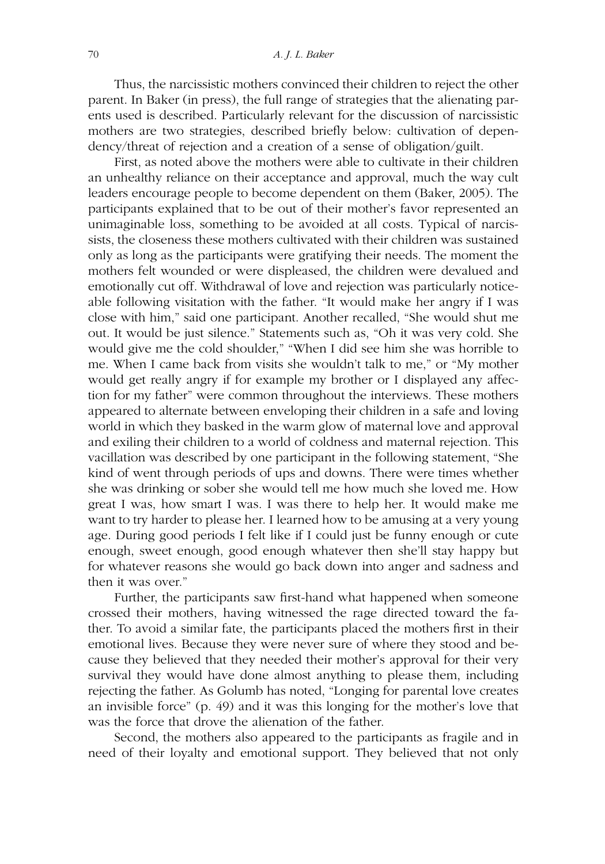Thus, the narcissistic mothers convinced their children to reject the other parent. In Baker (in press), the full range of strategies that the alienating parents used is described. Particularly relevant for the discussion of narcissistic mothers are two strategies, described briefly below: cultivation of dependency/threat of rejection and a creation of a sense of obligation/guilt.

First, as noted above the mothers were able to cultivate in their children an unhealthy reliance on their acceptance and approval, much the way cult leaders encourage people to become dependent on them (Baker, 2005). The participants explained that to be out of their mother's favor represented an unimaginable loss, something to be avoided at all costs. Typical of narcissists, the closeness these mothers cultivated with their children was sustained only as long as the participants were gratifying their needs. The moment the mothers felt wounded or were displeased, the children were devalued and emotionally cut off. Withdrawal of love and rejection was particularly noticeable following visitation with the father. "It would make her angry if I was close with him," said one participant. Another recalled, "She would shut me out. It would be just silence." Statements such as, "Oh it was very cold. She would give me the cold shoulder," "When I did see him she was horrible to me. When I came back from visits she wouldn't talk to me," or "My mother would get really angry if for example my brother or I displayed any affection for my father" were common throughout the interviews. These mothers appeared to alternate between enveloping their children in a safe and loving world in which they basked in the warm glow of maternal love and approval and exiling their children to a world of coldness and maternal rejection. This vacillation was described by one participant in the following statement, "She kind of went through periods of ups and downs. There were times whether she was drinking or sober she would tell me how much she loved me. How great I was, how smart I was. I was there to help her. It would make me want to try harder to please her. I learned how to be amusing at a very young age. During good periods I felt like if I could just be funny enough or cute enough, sweet enough, good enough whatever then she'll stay happy but for whatever reasons she would go back down into anger and sadness and then it was over."

Further, the participants saw first-hand what happened when someone crossed their mothers, having witnessed the rage directed toward the father. To avoid a similar fate, the participants placed the mothers first in their emotional lives. Because they were never sure of where they stood and because they believed that they needed their mother's approval for their very survival they would have done almost anything to please them, including rejecting the father. As Golumb has noted, "Longing for parental love creates an invisible force" (p. 49) and it was this longing for the mother's love that was the force that drove the alienation of the father.

Second, the mothers also appeared to the participants as fragile and in need of their loyalty and emotional support. They believed that not only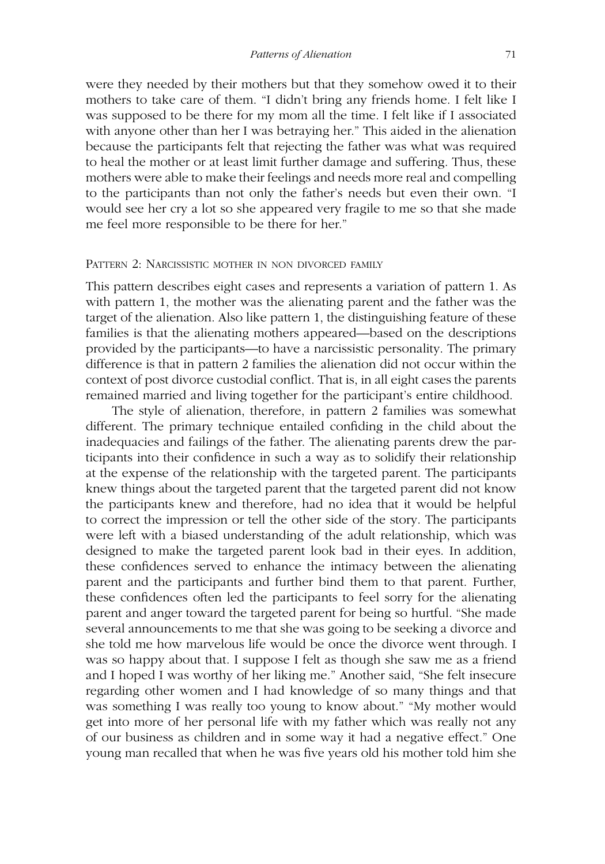were they needed by their mothers but that they somehow owed it to their mothers to take care of them. "I didn't bring any friends home. I felt like I was supposed to be there for my mom all the time. I felt like if I associated with anyone other than her I was betraying her." This aided in the alienation because the participants felt that rejecting the father was what was required to heal the mother or at least limit further damage and suffering. Thus, these mothers were able to make their feelings and needs more real and compelling to the participants than not only the father's needs but even their own. "I would see her cry a lot so she appeared very fragile to me so that she made me feel more responsible to be there for her."

#### PATTERN 2: NARCISSISTIC MOTHER IN NON DIVORCED FAMILY

This pattern describes eight cases and represents a variation of pattern 1. As with pattern 1, the mother was the alienating parent and the father was the target of the alienation. Also like pattern 1, the distinguishing feature of these families is that the alienating mothers appeared—based on the descriptions provided by the participants—to have a narcissistic personality. The primary difference is that in pattern 2 families the alienation did not occur within the context of post divorce custodial conflict. That is, in all eight cases the parents remained married and living together for the participant's entire childhood.

The style of alienation, therefore, in pattern 2 families was somewhat different. The primary technique entailed confiding in the child about the inadequacies and failings of the father. The alienating parents drew the participants into their confidence in such a way as to solidify their relationship at the expense of the relationship with the targeted parent. The participants knew things about the targeted parent that the targeted parent did not know the participants knew and therefore, had no idea that it would be helpful to correct the impression or tell the other side of the story. The participants were left with a biased understanding of the adult relationship, which was designed to make the targeted parent look bad in their eyes. In addition, these confidences served to enhance the intimacy between the alienating parent and the participants and further bind them to that parent. Further, these confidences often led the participants to feel sorry for the alienating parent and anger toward the targeted parent for being so hurtful. "She made several announcements to me that she was going to be seeking a divorce and she told me how marvelous life would be once the divorce went through. I was so happy about that. I suppose I felt as though she saw me as a friend and I hoped I was worthy of her liking me." Another said, "She felt insecure regarding other women and I had knowledge of so many things and that was something I was really too young to know about." "My mother would get into more of her personal life with my father which was really not any of our business as children and in some way it had a negative effect." One young man recalled that when he was five years old his mother told him she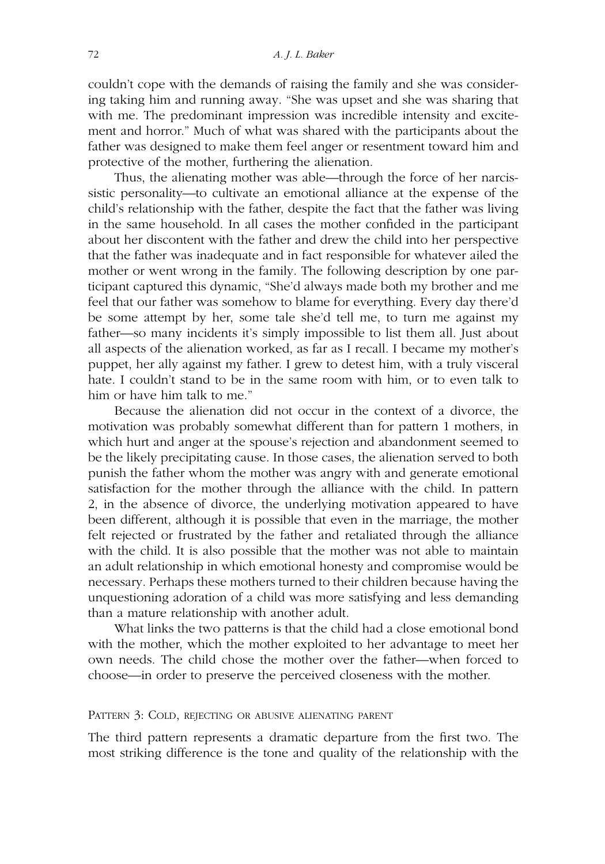couldn't cope with the demands of raising the family and she was considering taking him and running away. "She was upset and she was sharing that with me. The predominant impression was incredible intensity and excitement and horror." Much of what was shared with the participants about the father was designed to make them feel anger or resentment toward him and protective of the mother, furthering the alienation.

Thus, the alienating mother was able—through the force of her narcissistic personality—to cultivate an emotional alliance at the expense of the child's relationship with the father, despite the fact that the father was living in the same household. In all cases the mother confided in the participant about her discontent with the father and drew the child into her perspective that the father was inadequate and in fact responsible for whatever ailed the mother or went wrong in the family. The following description by one participant captured this dynamic, "She'd always made both my brother and me feel that our father was somehow to blame for everything. Every day there'd be some attempt by her, some tale she'd tell me, to turn me against my father—so many incidents it's simply impossible to list them all. Just about all aspects of the alienation worked, as far as I recall. I became my mother's puppet, her ally against my father. I grew to detest him, with a truly visceral hate. I couldn't stand to be in the same room with him, or to even talk to him or have him talk to me."

Because the alienation did not occur in the context of a divorce, the motivation was probably somewhat different than for pattern 1 mothers, in which hurt and anger at the spouse's rejection and abandonment seemed to be the likely precipitating cause. In those cases, the alienation served to both punish the father whom the mother was angry with and generate emotional satisfaction for the mother through the alliance with the child. In pattern 2, in the absence of divorce, the underlying motivation appeared to have been different, although it is possible that even in the marriage, the mother felt rejected or frustrated by the father and retaliated through the alliance with the child. It is also possible that the mother was not able to maintain an adult relationship in which emotional honesty and compromise would be necessary. Perhaps these mothers turned to their children because having the unquestioning adoration of a child was more satisfying and less demanding than a mature relationship with another adult.

What links the two patterns is that the child had a close emotional bond with the mother, which the mother exploited to her advantage to meet her own needs. The child chose the mother over the father—when forced to choose—in order to preserve the perceived closeness with the mother.

### PATTERN 3: COLD, REJECTING OR ABUSIVE ALIENATING PARENT

The third pattern represents a dramatic departure from the first two. The most striking difference is the tone and quality of the relationship with the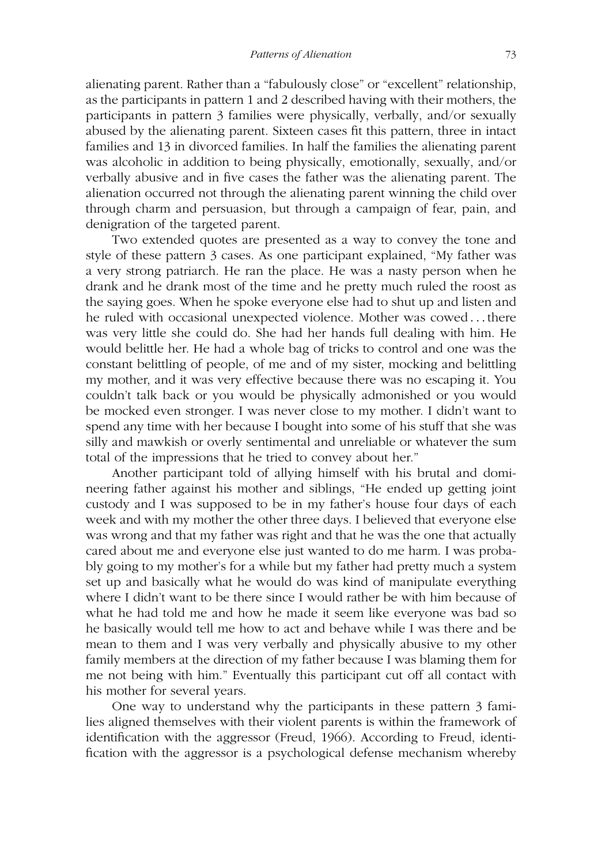alienating parent. Rather than a "fabulously close" or "excellent" relationship, as the participants in pattern 1 and 2 described having with their mothers, the participants in pattern 3 families were physically, verbally, and/or sexually abused by the alienating parent. Sixteen cases fit this pattern, three in intact families and 13 in divorced families. In half the families the alienating parent was alcoholic in addition to being physically, emotionally, sexually, and/or verbally abusive and in five cases the father was the alienating parent. The alienation occurred not through the alienating parent winning the child over through charm and persuasion, but through a campaign of fear, pain, and denigration of the targeted parent.

Two extended quotes are presented as a way to convey the tone and style of these pattern 3 cases. As one participant explained, "My father was a very strong patriarch. He ran the place. He was a nasty person when he drank and he drank most of the time and he pretty much ruled the roost as the saying goes. When he spoke everyone else had to shut up and listen and he ruled with occasional unexpected violence. Mother was cowed ... there was very little she could do. She had her hands full dealing with him. He would belittle her. He had a whole bag of tricks to control and one was the constant belittling of people, of me and of my sister, mocking and belittling my mother, and it was very effective because there was no escaping it. You couldn't talk back or you would be physically admonished or you would be mocked even stronger. I was never close to my mother. I didn't want to spend any time with her because I bought into some of his stuff that she was silly and mawkish or overly sentimental and unreliable or whatever the sum total of the impressions that he tried to convey about her."

Another participant told of allying himself with his brutal and domineering father against his mother and siblings, "He ended up getting joint custody and I was supposed to be in my father's house four days of each week and with my mother the other three days. I believed that everyone else was wrong and that my father was right and that he was the one that actually cared about me and everyone else just wanted to do me harm. I was probably going to my mother's for a while but my father had pretty much a system set up and basically what he would do was kind of manipulate everything where I didn't want to be there since I would rather be with him because of what he had told me and how he made it seem like everyone was bad so he basically would tell me how to act and behave while I was there and be mean to them and I was very verbally and physically abusive to my other family members at the direction of my father because I was blaming them for me not being with him." Eventually this participant cut off all contact with his mother for several years.

One way to understand why the participants in these pattern 3 families aligned themselves with their violent parents is within the framework of identification with the aggressor (Freud, 1966). According to Freud, identification with the aggressor is a psychological defense mechanism whereby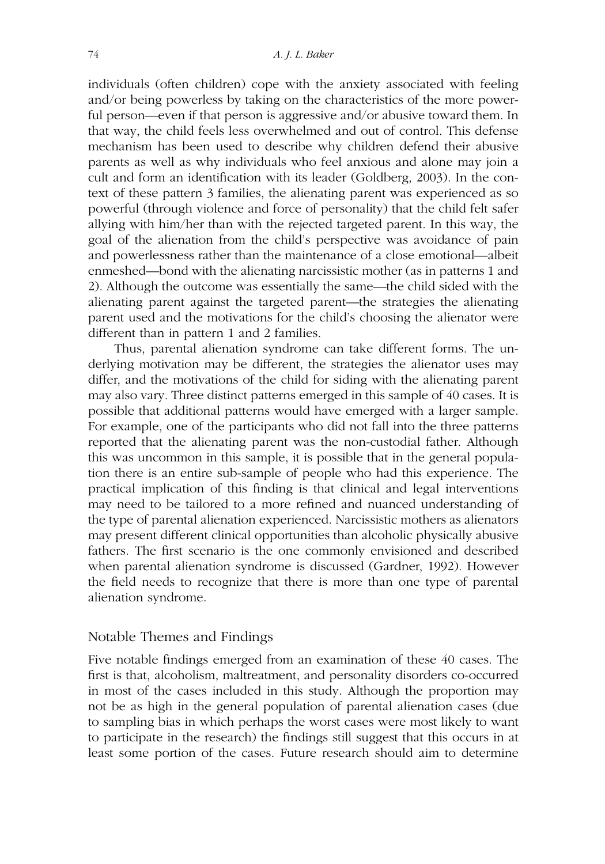individuals (often children) cope with the anxiety associated with feeling and/or being powerless by taking on the characteristics of the more powerful person—even if that person is aggressive and/or abusive toward them. In that way, the child feels less overwhelmed and out of control. This defense mechanism has been used to describe why children defend their abusive parents as well as why individuals who feel anxious and alone may join a cult and form an identification with its leader (Goldberg, 2003). In the context of these pattern 3 families, the alienating parent was experienced as so powerful (through violence and force of personality) that the child felt safer allying with him/her than with the rejected targeted parent. In this way, the goal of the alienation from the child's perspective was avoidance of pain and powerlessness rather than the maintenance of a close emotional—albeit enmeshed—bond with the alienating narcissistic mother (as in patterns 1 and 2). Although the outcome was essentially the same—the child sided with the alienating parent against the targeted parent—the strategies the alienating parent used and the motivations for the child's choosing the alienator were different than in pattern 1 and 2 families.

Thus, parental alienation syndrome can take different forms. The underlying motivation may be different, the strategies the alienator uses may differ, and the motivations of the child for siding with the alienating parent may also vary. Three distinct patterns emerged in this sample of 40 cases. It is possible that additional patterns would have emerged with a larger sample. For example, one of the participants who did not fall into the three patterns reported that the alienating parent was the non-custodial father. Although this was uncommon in this sample, it is possible that in the general population there is an entire sub-sample of people who had this experience. The practical implication of this finding is that clinical and legal interventions may need to be tailored to a more refined and nuanced understanding of the type of parental alienation experienced. Narcissistic mothers as alienators may present different clinical opportunities than alcoholic physically abusive fathers. The first scenario is the one commonly envisioned and described when parental alienation syndrome is discussed (Gardner, 1992). However the field needs to recognize that there is more than one type of parental alienation syndrome.

# Notable Themes and Findings

Five notable findings emerged from an examination of these 40 cases. The first is that, alcoholism, maltreatment, and personality disorders co-occurred in most of the cases included in this study. Although the proportion may not be as high in the general population of parental alienation cases (due to sampling bias in which perhaps the worst cases were most likely to want to participate in the research) the findings still suggest that this occurs in at least some portion of the cases. Future research should aim to determine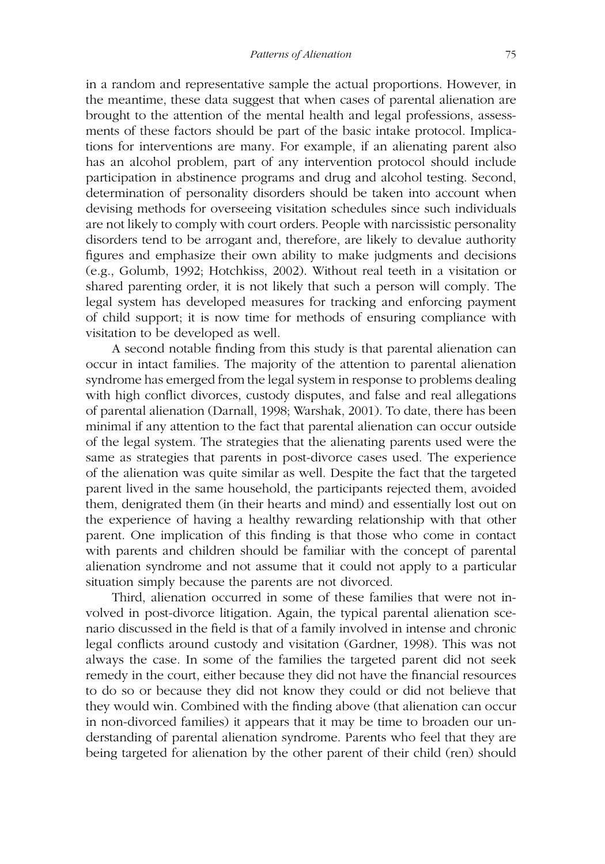in a random and representative sample the actual proportions. However, in the meantime, these data suggest that when cases of parental alienation are brought to the attention of the mental health and legal professions, assessments of these factors should be part of the basic intake protocol. Implications for interventions are many. For example, if an alienating parent also has an alcohol problem, part of any intervention protocol should include participation in abstinence programs and drug and alcohol testing. Second, determination of personality disorders should be taken into account when devising methods for overseeing visitation schedules since such individuals are not likely to comply with court orders. People with narcissistic personality disorders tend to be arrogant and, therefore, are likely to devalue authority figures and emphasize their own ability to make judgments and decisions (e.g., Golumb, 1992; Hotchkiss, 2002). Without real teeth in a visitation or shared parenting order, it is not likely that such a person will comply. The legal system has developed measures for tracking and enforcing payment of child support; it is now time for methods of ensuring compliance with visitation to be developed as well.

A second notable finding from this study is that parental alienation can occur in intact families. The majority of the attention to parental alienation syndrome has emerged from the legal system in response to problems dealing with high conflict divorces, custody disputes, and false and real allegations of parental alienation (Darnall, 1998; Warshak, 2001). To date, there has been minimal if any attention to the fact that parental alienation can occur outside of the legal system. The strategies that the alienating parents used were the same as strategies that parents in post-divorce cases used. The experience of the alienation was quite similar as well. Despite the fact that the targeted parent lived in the same household, the participants rejected them, avoided them, denigrated them (in their hearts and mind) and essentially lost out on the experience of having a healthy rewarding relationship with that other parent. One implication of this finding is that those who come in contact with parents and children should be familiar with the concept of parental alienation syndrome and not assume that it could not apply to a particular situation simply because the parents are not divorced.

Third, alienation occurred in some of these families that were not involved in post-divorce litigation. Again, the typical parental alienation scenario discussed in the field is that of a family involved in intense and chronic legal conflicts around custody and visitation (Gardner, 1998). This was not always the case. In some of the families the targeted parent did not seek remedy in the court, either because they did not have the financial resources to do so or because they did not know they could or did not believe that they would win. Combined with the finding above (that alienation can occur in non-divorced families) it appears that it may be time to broaden our understanding of parental alienation syndrome. Parents who feel that they are being targeted for alienation by the other parent of their child (ren) should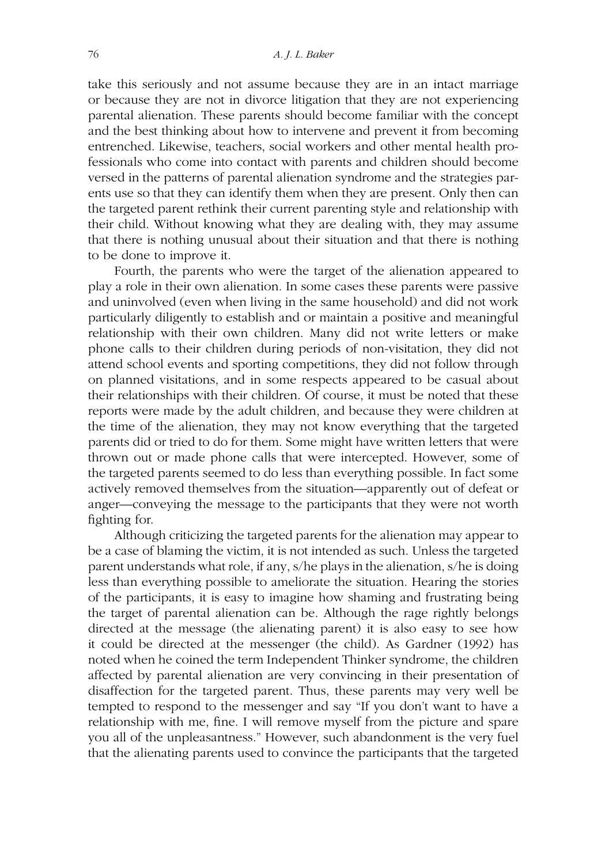take this seriously and not assume because they are in an intact marriage or because they are not in divorce litigation that they are not experiencing parental alienation. These parents should become familiar with the concept and the best thinking about how to intervene and prevent it from becoming entrenched. Likewise, teachers, social workers and other mental health professionals who come into contact with parents and children should become versed in the patterns of parental alienation syndrome and the strategies parents use so that they can identify them when they are present. Only then can the targeted parent rethink their current parenting style and relationship with their child. Without knowing what they are dealing with, they may assume that there is nothing unusual about their situation and that there is nothing to be done to improve it.

Fourth, the parents who were the target of the alienation appeared to play a role in their own alienation. In some cases these parents were passive and uninvolved (even when living in the same household) and did not work particularly diligently to establish and or maintain a positive and meaningful relationship with their own children. Many did not write letters or make phone calls to their children during periods of non-visitation, they did not attend school events and sporting competitions, they did not follow through on planned visitations, and in some respects appeared to be casual about their relationships with their children. Of course, it must be noted that these reports were made by the adult children, and because they were children at the time of the alienation, they may not know everything that the targeted parents did or tried to do for them. Some might have written letters that were thrown out or made phone calls that were intercepted. However, some of the targeted parents seemed to do less than everything possible. In fact some actively removed themselves from the situation—apparently out of defeat or anger—conveying the message to the participants that they were not worth fighting for.

Although criticizing the targeted parents for the alienation may appear to be a case of blaming the victim, it is not intended as such. Unless the targeted parent understands what role, if any, s/he plays in the alienation, s/he is doing less than everything possible to ameliorate the situation. Hearing the stories of the participants, it is easy to imagine how shaming and frustrating being the target of parental alienation can be. Although the rage rightly belongs directed at the message (the alienating parent) it is also easy to see how it could be directed at the messenger (the child). As Gardner (1992) has noted when he coined the term Independent Thinker syndrome, the children affected by parental alienation are very convincing in their presentation of disaffection for the targeted parent. Thus, these parents may very well be tempted to respond to the messenger and say "If you don't want to have a relationship with me, fine. I will remove myself from the picture and spare you all of the unpleasantness." However, such abandonment is the very fuel that the alienating parents used to convince the participants that the targeted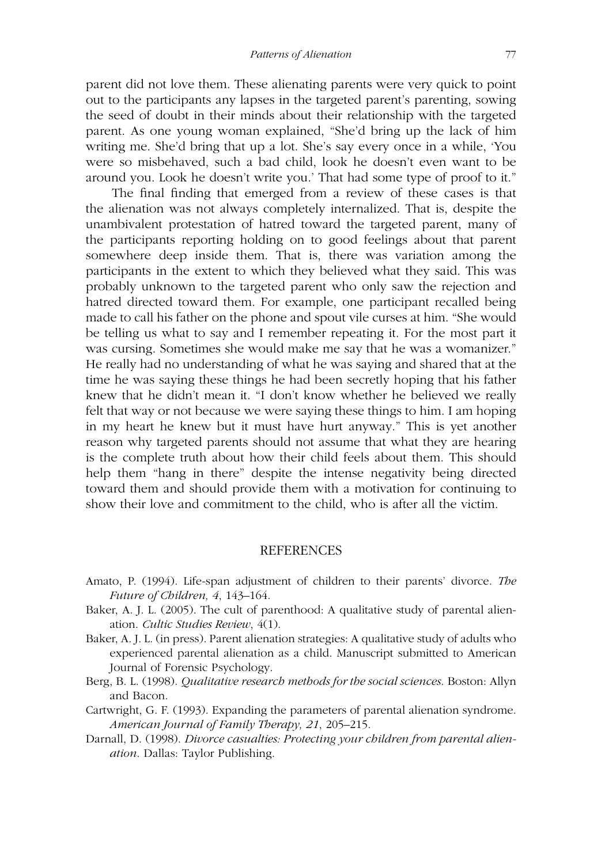parent did not love them. These alienating parents were very quick to point out to the participants any lapses in the targeted parent's parenting, sowing the seed of doubt in their minds about their relationship with the targeted parent. As one young woman explained, "She'd bring up the lack of him writing me. She'd bring that up a lot. She's say every once in a while, 'You were so misbehaved, such a bad child, look he doesn't even want to be around you. Look he doesn't write you.' That had some type of proof to it."

The final finding that emerged from a review of these cases is that the alienation was not always completely internalized. That is, despite the unambivalent protestation of hatred toward the targeted parent, many of the participants reporting holding on to good feelings about that parent somewhere deep inside them. That is, there was variation among the participants in the extent to which they believed what they said. This was probably unknown to the targeted parent who only saw the rejection and hatred directed toward them. For example, one participant recalled being made to call his father on the phone and spout vile curses at him. "She would be telling us what to say and I remember repeating it. For the most part it was cursing. Sometimes she would make me say that he was a womanizer." He really had no understanding of what he was saying and shared that at the time he was saying these things he had been secretly hoping that his father knew that he didn't mean it. "I don't know whether he believed we really felt that way or not because we were saying these things to him. I am hoping in my heart he knew but it must have hurt anyway." This is yet another reason why targeted parents should not assume that what they are hearing is the complete truth about how their child feels about them. This should help them "hang in there" despite the intense negativity being directed toward them and should provide them with a motivation for continuing to show their love and commitment to the child, who is after all the victim.

#### **REFERENCES**

- Amato, P. (1994). Life-span adjustment of children to their parents' divorce. *The Future of Children, 4*, 143–164.
- Baker, A. J. L. (2005). The cult of parenthood: A qualitative study of parental alienation. *Cultic Studies Review*, 4(1).
- Baker, A. J. L. (in press). Parent alienation strategies: A qualitative study of adults who experienced parental alienation as a child. Manuscript submitted to American Journal of Forensic Psychology.
- Berg, B. L. (1998). *Qualitative research methods for the social sciences*. Boston: Allyn and Bacon.
- Cartwright, G. F. (1993). Expanding the parameters of parental alienation syndrome. *American Journal of Family Therapy, 21*, 205–215.
- Darnall, D. (1998). *Divorce casualties: Protecting your children from parental alienation*. Dallas: Taylor Publishing.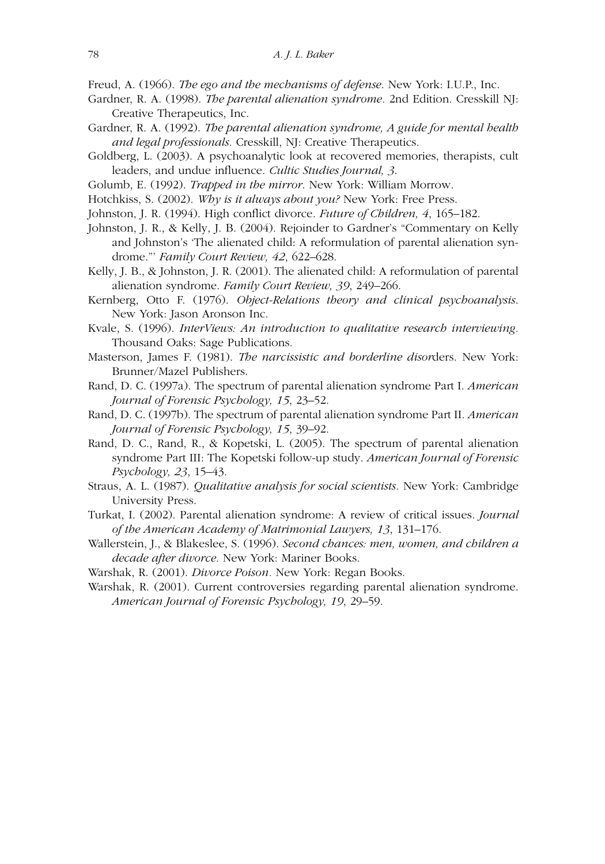Freud, A. (1966). *The ego and the mechanisms of defense*. New York: I.U.P., Inc.

- Gardner, R. A. (1998). *The parental alienation syndrome.* 2nd Edition. Cresskill NJ: Creative Therapeutics, Inc.
- Gardner, R. A. (1992). *The parental alienation syndrome, A guide for mental health and legal professionals.* Cresskill, NJ: Creative Therapeutics.
- Goldberg, L. (2003). A psychoanalytic look at recovered memories, therapists, cult leaders, and undue influence. *Cultic Studies Journal, 3*.
- Golumb, E. (1992). *Trapped in the mirror*. New York: William Morrow.
- Hotchkiss, S. (2002). *Why is it always about you?* New York: Free Press.
- Johnston, J. R. (1994). High conflict divorce. *Future of Children, 4*, 165–182.
- Johnston, J. R., & Kelly, J. B. (2004). Rejoinder to Gardner's "Commentary on Kelly and Johnston's 'The alienated child: A reformulation of parental alienation syndrome."' *Family Court Review, 42*, 622–628.
- Kelly, J. B., & Johnston, J. R. (2001). The alienated child: A reformulation of parental alienation syndrome. *Family Court Review, 39*, 249–266.
- Kernberg, Otto F. (1976). *Object-Relations theory and clinical psychoanalysis*. New York: Jason Aronson Inc.
- Kvale, S. (1996). *InterViews: An introduction to qualitative research interviewing.* Thousand Oaks: Sage Publications.
- Masterson, James F. (1981). *The narcissistic and borderline disor*ders. New York: Brunner/Mazel Publishers.
- Rand, D. C. (1997a). The spectrum of parental alienation syndrome Part I. *American Journal of Forensic Psychology, 15*, 23–52.
- Rand, D. C. (1997b). The spectrum of parental alienation syndrome Part II. *American Journal of Forensic Psychology, 15*, 39–92.
- Rand, D. C., Rand, R., & Kopetski, L. (2005). The spectrum of parental alienation syndrome Part III: The Kopetski follow-up study. *American Journal of Forensic Psychology, 23*, 15–43.
- Straus, A. L. (1987). *Qualitative analysis for social scientists.* New York: Cambridge University Press.
- Turkat, I. (2002). Parental alienation syndrome: A review of critical issues. *Journal of the American Academy of Matrimonial Lawyers, 13*, 131–176.
- Wallerstein, J., & Blakeslee, S. (1996). *Second chances: men, women, and children a decade after divorce*. New York: Mariner Books.
- Warshak, R. (2001). *Divorce Poison.* New York: Regan Books.
- Warshak, R. (2001). Current controversies regarding parental alienation syndrome. *American Journal of Forensic Psychology, 19*, 29–59.